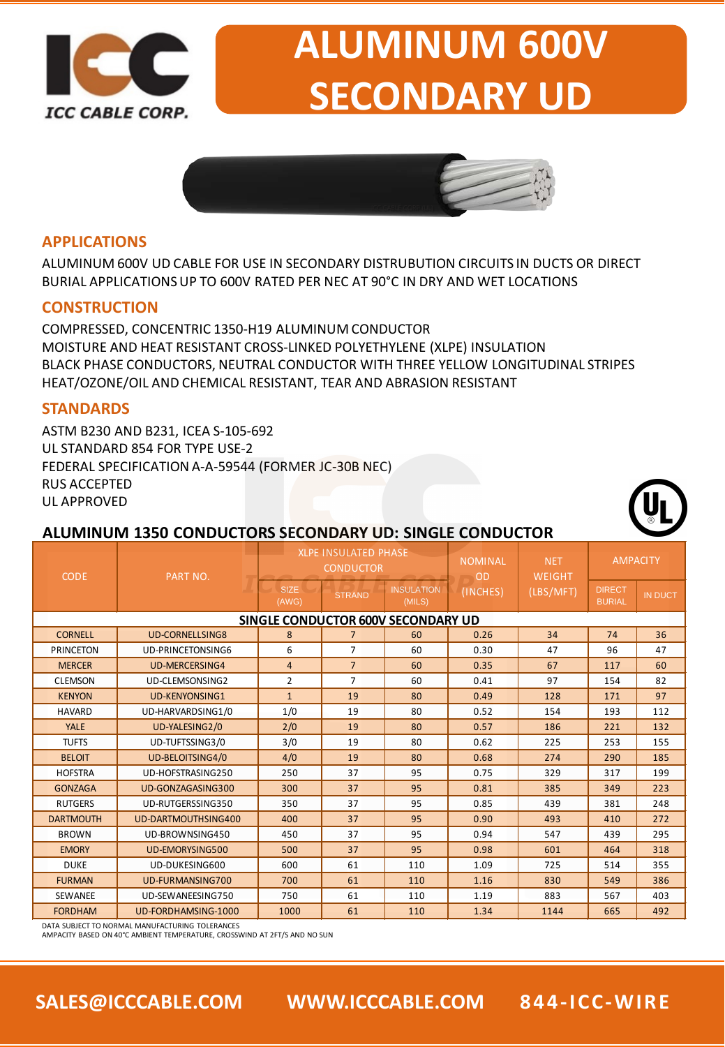

# **ALUMINUM 600V SECONDARY UD**



#### **APPLICATIONS**

ALUMINUM 600V UD CABLE FOR USE IN SECONDARY DISTRUBUTION CIRCUITS IN DUCTS OR DIRECT BURIAL APPLICATIONS UP TO 600V RATED PER NEC AT 90°C IN DRY AND WET LOCATIONS

#### **CONSTRUCTION**

COMPRESSED, CONCENTRIC 1350-H19 ALUMINUM CONDUCTOR MOISTURE AND HEAT RESISTANT CROSS-LINKED POLYETHYLENE (XLPE) INSULATION BLACK PHASE CONDUCTORS, NEUTRAL CONDUCTOR WITH THREE YELLOW LONGITUDINAL STRIPES HEAT/OZONE/OIL AND CHEMICAL RESISTANT, TEAR AND ABRASION RESISTANT

#### **STANDARDS**

ASTM B230 AND B231, ICEA S-105-692 UL STANDARD 854 FOR TYPE USE-2 FEDERAL SPECIFICATION A-A-59544 (FORMER JC-30B NEC) RUS ACCEPTED UL APPROVED

## **ALUMINUM 1350 CONDUCTORS SECONDARY UD: SINGLE CONDUCTOR**

| <b>CODE</b>                        | <b>PART NO.</b>         |                      | <b>XLPE INSULATED PHASE</b><br><b>CONDUCTOR</b> |                             | <b>NOMINAL</b><br>OD<br>(INCHES) | <b>NET</b><br>WEIGHT<br>(LBS/MFT) | <b>AMPACITY</b>                |                |  |  |
|------------------------------------|-------------------------|----------------------|-------------------------------------------------|-----------------------------|----------------------------------|-----------------------------------|--------------------------------|----------------|--|--|
|                                    |                         | <b>SIZE</b><br>(AWG) | <b>STRAND</b>                                   | <b>INSULATION</b><br>(MILS) |                                  |                                   | <b>DIRECT</b><br><b>BURIAL</b> | <b>IN DUCT</b> |  |  |
| SINGLE CONDUCTOR 600V SECONDARY UD |                         |                      |                                                 |                             |                                  |                                   |                                |                |  |  |
| <b>CORNELL</b>                     | <b>UD-CORNELLSING8</b>  | 8                    | $\overline{7}$                                  | 60                          | 0.26                             | 34                                | 74                             | 36             |  |  |
| <b>PRINCETON</b>                   | UD-PRINCETONSING6       | 6                    | $\overline{7}$                                  | 60                          | 0.30                             | 47                                | 96                             | 47             |  |  |
| <b>MERCER</b>                      | <b>UD-MERCERSING4</b>   | 4                    | $\overline{7}$                                  | 60                          | 0.35                             | 67                                | 117                            | 60             |  |  |
| <b>CLEMSON</b>                     | UD-CLEMSONSING2         | 2                    | $\overline{7}$                                  | 60                          | 0.41                             | 97                                | 154                            | 82             |  |  |
| <b>KENYON</b>                      | <b>UD-KENYONSING1</b>   | $\mathbf{1}$         | 19                                              | 80                          | 0.49                             | 128                               | 171                            | 97             |  |  |
| <b>HAVARD</b>                      | UD-HARVARDSING1/0       | 1/0                  | 19                                              | 80                          | 0.52                             | 154                               | 193                            | 112            |  |  |
| YALE                               | UD-YALESING2/0          | 2/0                  | 19                                              | 80                          | 0.57                             | 186                               | 221                            | 132            |  |  |
| <b>TUFTS</b>                       | UD-TUFTSSING3/0         | 3/0                  | 19                                              | 80                          | 0.62                             | 225                               | 253                            | 155            |  |  |
| <b>BELOIT</b>                      | <b>UD-BELOITSING4/0</b> | 4/0                  | 19                                              | 80                          | 0.68                             | 274                               | 290                            | 185            |  |  |
| <b>HOFSTRA</b>                     | UD-HOFSTRASING250       | 250                  | 37                                              | 95                          | 0.75                             | 329                               | 317                            | 199            |  |  |
| <b>GONZAGA</b>                     | UD-GONZAGASING300       | 300                  | 37                                              | 95                          | 0.81                             | 385                               | 349                            | 223            |  |  |
| <b>RUTGERS</b>                     | UD-RUTGERSSING350       | 350                  | 37                                              | 95                          | 0.85                             | 439                               | 381                            | 248            |  |  |
| <b>DARTMOUTH</b>                   | UD-DARTMOUTHSING400     | 400                  | 37                                              | 95                          | 0.90                             | 493                               | 410                            | 272            |  |  |
| <b>BROWN</b>                       | UD-BROWNSING450         | 450                  | 37                                              | 95                          | 0.94                             | 547                               | 439                            | 295            |  |  |
| <b>EMORY</b>                       | <b>UD-EMORYSING500</b>  | 500                  | 37                                              | 95                          | 0.98                             | 601                               | 464                            | 318            |  |  |
| <b>DUKE</b>                        | UD-DUKESING600          | 600                  | 61                                              | 110                         | 1.09                             | 725                               | 514                            | 355            |  |  |
| <b>FURMAN</b>                      | UD-FURMANSING700        | 700                  | 61                                              | 110                         | 1.16                             | 830                               | 549                            | 386            |  |  |
| SEWANEE                            | UD-SEWANEESING750       | 750                  | 61                                              | 110                         | 1.19                             | 883                               | 567                            | 403            |  |  |
| <b>FORDHAM</b>                     | UD-FORDHAMSING-1000     | 1000                 | 61                                              | 110                         | 1.34                             | 1144                              | 665                            | 492            |  |  |

DATA SUBJECT TO NORMAL MANUFACTURING TOLERANCES

AMPACITY BASED ON 40°C AMBIENT TEMPERATURE, CROSSWIND AT 2FT/S AND NO SUN

**SALES@ICCCABLE.COM WWW.ICCCABLE.COM 844-ICC-WIRE**